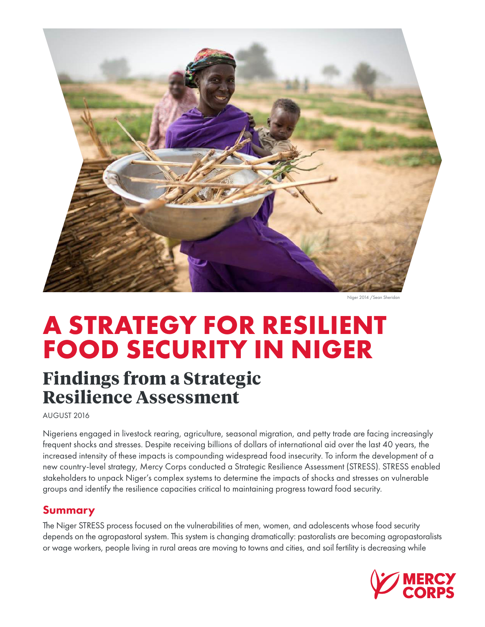

Niger 2014 / Sean Sherida

# **A STRATEGY FOR RESILIENT FOOD SECURITY IN NIGER**

# **Findings from a Strategic Resilience Assessment**

AUGUST 2016

Nigeriens engaged in livestock rearing, agriculture, seasonal migration, and petty trade are facing increasingly frequent shocks and stresses. Despite receiving billions of dollars of international aid over the last 40 years, the increased intensity of these impacts is compounding widespread food insecurity. To inform the development of a new country-level strategy, Mercy Corps conducted a Strategic Resilience Assessment (STRESS). STRESS enabled stakeholders to unpack Niger's complex systems to determine the impacts of shocks and stresses on vulnerable groups and identify the resilience capacities critical to maintaining progress toward food security.

#### Summary

The Niger STRESS process focused on the vulnerabilities of men, women, and adolescents whose food security depends on the agropastoral system. This system is changing dramatically: pastoralists are becoming agropastoralists or wage workers, people living in rural areas are moving to towns and cities, and soil fertility is decreasing while

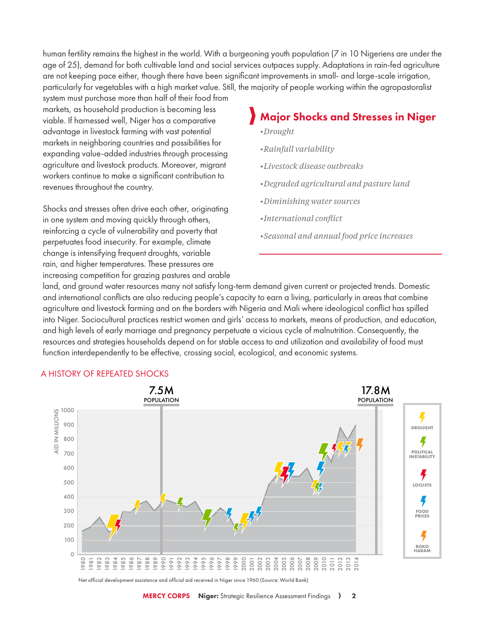human fertility remains the highest in the world. With a burgeoning youth population (7 in 10 Nigeriens are under the age of 25), demand for both cultivable land and social services outpaces supply. Adaptations in rain-fed agriculture are not keeping pace either, though there have been significant improvements in small- and large-scale irrigation, particularly for vegetables with a high market value. Still, the majority of people working within the agropastoralist

system must purchase more than half of their food from markets, as household production is becoming less viable. If harnessed well, Niger has a comparative advantage in livestock farming with vast potential markets in neighboring countries and possibilities for expanding value-added industries through processing agriculture and livestock products. Moreover, migrant workers continue to make a significant contribution to revenues throughout the country.

Shocks and stresses often drive each other, originating in one system and moving quickly through others, reinforcing a cycle of vulnerability and poverty that perpetuates food insecurity. For example, climate change is intensifying frequent droughts, variable rain, and higher temperatures. These pressures are increasing competition for grazing pastures and arable

## Major Shocks and Stresses in Niger

- *•Drought*
- *•Rainfall variability*
- *•Livestock disease outbreaks*
- *•Degraded agricultural and pasture land*
- *•Diminishing water sources*
- *•International conflict*
- *•Seasonal and annual food price increases*

land, and ground water resources many not satisfy long-term demand given current or projected trends. Domestic and international conflicts are also reducing people's capacity to earn a living, particularly in areas that combine agriculture and livestock farming and on the borders with Nigeria and Mali where ideological conflict has spilled into Niger. Sociocultural practices restrict women and girls' access to markets, means of production, and education, and high levels of early marriage and pregnancy perpetuate a vicious cycle of malnutrition. Consequently, the resources and strategies households depend on for stable access to and utilization and availability of food must function interdependently to be effective, crossing social, ecological, and economic systems.



#### A HISTORY OF REPEATED SHOCKS

Net official development assistance and official aid received in Niger since 1960 (Source: World Bank)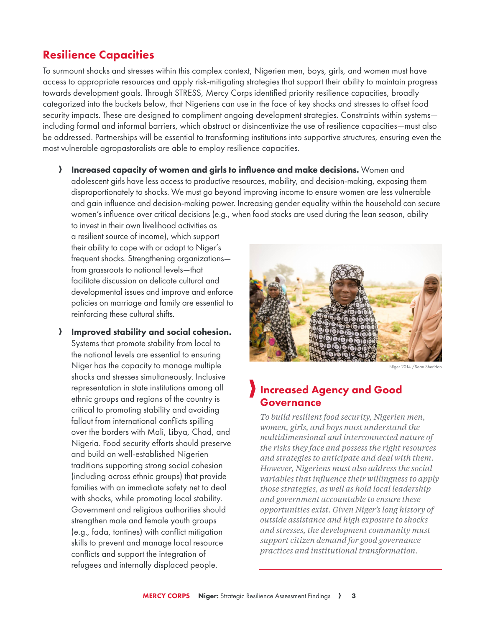#### Resilience Capacities

To surmount shocks and stresses within this complex context, Nigerien men, boys, girls, and women must have access to appropriate resources and apply risk-mitigating strategies that support their ability to maintain progress towards development goals. Through STRESS, Mercy Corps identified priority resilience capacities, broadly categorized into the buckets below, that Nigeriens can use in the face of key shocks and stresses to offset food security impacts. These are designed to compliment ongoing development strategies. Constraints within systems including formal and informal barriers, which obstruct or disincentivize the use of resilience capacities—must also be addressed. Partnerships will be essential to transforming institutions into supportive structures, ensuring even the most vulnerable agropastoralists are able to employ resilience capacities.

A Increased capacity of women and girls to influence and make decisions. Women and adolescent girls have less access to productive resources, mobility, and decision-making, exposing them disproportionately to shocks. We must go beyond improving income to ensure women are less vulnerable and gain influence and decision-making power. Increasing gender equality within the household can secure women's influence over critical decisions (e.g., when food stocks are used during the lean season, ability

to invest in their own livelihood activities as a resilient source of income), which support their ability to cope with or adapt to Niger's frequent shocks. Strengthening organizations from grassroots to national levels—that facilitate discussion on delicate cultural and developmental issues and improve and enforce policies on marriage and family are essential to reinforcing these cultural shifts.

A Improved stability and social cohesion. Systems that promote stability from local to the national levels are essential to ensuring Niger has the capacity to manage multiple shocks and stresses simultaneously. Inclusive representation in state institutions among all ethnic groups and regions of the country is critical to promoting stability and avoiding fallout from international conflicts spilling over the borders with Mali, Libya, Chad, and Nigeria. Food security efforts should preserve and build on well-established Nigerien traditions supporting strong social cohesion (including across ethnic groups) that provide families with an immediate safety net to deal with shocks, while promoting local stability. Government and religious authorities should strengthen male and female youth groups (e.g., fada, tontines) with conflict mitigation skills to prevent and manage local resource conflicts and support the integration of refugees and internally displaced people.



Niger 2014 /Sean Sheridan

### Increased Agency and Good Governance

*To build resilient food security, Nigerien men, women, girls, and boys must understand the multidimensional and interconnected nature of the risks they face and possess the right resources and strategies to anticipate and deal with them. However, Nigeriens must also address the social variables that influence their willingness to apply those strategies, as well as hold local leadership and government accountable to ensure these opportunities exist. Given Niger's long history of outside assistance and high exposure to shocks and stresses, the development community must support citizen demand for good governance practices and institutional transformation.*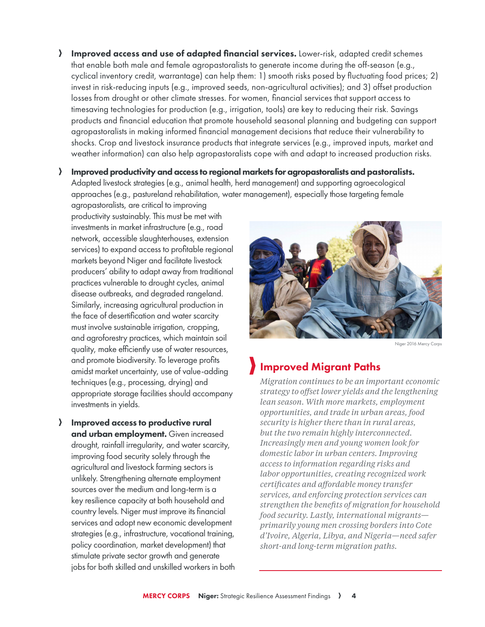- A Improved access and use of adapted financial services. Lower-risk, adapted credit schemes that enable both male and female agropastoralists to generate income during the off-season (e.g., cyclical inventory credit, warrantage) can help them: 1) smooth risks posed by fluctuating food prices; 2) invest in risk-reducing inputs (e.g., improved seeds, non-agricultural activities); and 3) offset production losses from drought or other climate stresses. For women, financial services that support access to timesaving technologies for production (e.g., irrigation, tools) are key to reducing their risk. Savings products and financial education that promote household seasonal planning and budgeting can support agropastoralists in making informed financial management decisions that reduce their vulnerability to shocks. Crop and livestock insurance products that integrate services (e.g., improved inputs, market and weather information) can also help agropastoralists cope with and adapt to increased production risks.
- A Improved productivity and access to regional markets for agropastoralists and pastoralists. Adapted livestock strategies (e.g., animal health, herd management) and supporting agroecological approaches (e.g., pastureland rehabilitation, water management), especially those targeting female

agropastoralists, are critical to improving productivity sustainably. This must be met with investments in market infrastructure (e.g., road network, accessible slaughterhouses, extension services) to expand access to profitable regional markets beyond Niger and facilitate livestock producers' ability to adapt away from traditional practices vulnerable to drought cycles, animal disease outbreaks, and degraded rangeland. Similarly, increasing agricultural production in the face of desertification and water scarcity must involve sustainable irrigation, cropping, and agroforestry practices, which maintain soil quality, make efficiently use of water resources, and promote biodiversity. To leverage profits amidst market uncertainty, use of value-adding techniques (e.g., processing, drying) and appropriate storage facilities should accompany investments in yields.

 $\sum$  Improved access to productive rural and urban employment. Given increased drought, rainfall irregularity, and water scarcity, improving food security solely through the agricultural and livestock farming sectors is unlikely. Strengthening alternate employment sources over the medium and long-term is a key resilience capacity at both household and country levels. Niger must improve its financial services and adopt new economic development strategies (e.g., infrastructure, vocational training, policy coordination, market development) that stimulate private sector growth and generate jobs for both skilled and unskilled workers in both



Niger 2016 Mercy Corps

#### Improved Migrant Paths

*Migration continues to be an important economic strategy to offset lower yields and the lengthening lean season. With more markets, employment opportunities, and trade in urban areas, food security is higher there than in rural areas, but the two remain highly interconnected. Increasingly men and young women look for domestic labor in urban centers. Improving access to information regarding risks and labor opportunities, creating recognized work certificates and affordable money transfer services, and enforcing protection services can strengthen the benefits of migration for household food security. Lastly, international migrants primarily young men crossing borders into Cote d'Ivoire, Algeria, Libya, and Nigeria—need safer short-and long-term migration paths.*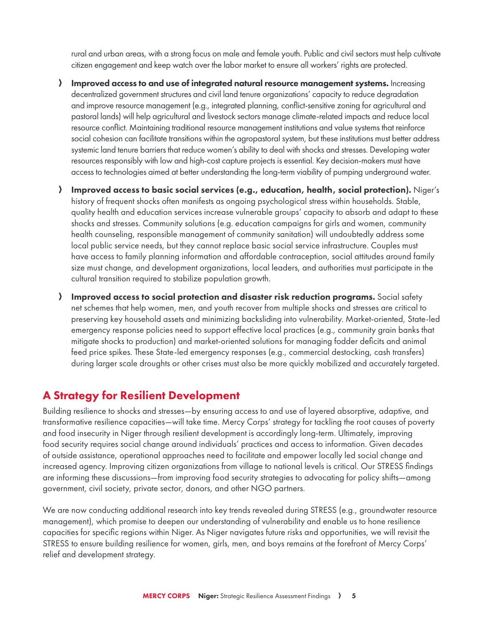rural and urban areas, with a strong focus on male and female youth. Public and civil sectors must help cultivate citizen engagement and keep watch over the labor market to ensure all workers' rights are protected.

- A Improved access to and use of integrated natural resource management systems. Increasing decentralized government structures and civil land tenure organizations' capacity to reduce degradation and improve resource management (e.g., integrated planning, conflict-sensitive zoning for agricultural and pastoral lands) will help agricultural and livestock sectors manage climate-related impacts and reduce local resource conflict. Maintaining traditional resource management institutions and value systems that reinforce social cohesion can facilitate transitions within the agropastoral system, but these institutions must better address systemic land tenure barriers that reduce women's ability to deal with shocks and stresses. Developing water resources responsibly with low and high-cost capture projects is essential. Key decision-makers must have access to technologies aimed at better understanding the long-term viability of pumping underground water.
- A Improved access to basic social services (e.g., education, health, social protection). Niger's history of frequent shocks often manifests as ongoing psychological stress within households. Stable, quality health and education services increase vulnerable groups' capacity to absorb and adapt to these shocks and stresses. Community solutions (e.g. education campaigns for girls and women, community health counseling, responsible management of community sanitation) will undoubtedly address some local public service needs, but they cannot replace basic social service infrastructure. Couples must have access to family planning information and affordable contraception, social attitudes around family size must change, and development organizations, local leaders, and authorities must participate in the cultural transition required to stabilize population growth.
- A Improved access to social protection and disaster risk reduction programs. Social safety net schemes that help women, men, and youth recover from multiple shocks and stresses are critical to preserving key household assets and minimizing backsliding into vulnerability. Market-oriented, State-led emergency response policies need to support effective local practices (e.g., community grain banks that mitigate shocks to production) and market-oriented solutions for managing fodder deficits and animal feed price spikes. These State-led emergency responses (e.g., commercial destocking, cash transfers) during larger scale droughts or other crises must also be more quickly mobilized and accurately targeted.

#### A Strategy for Resilient Development

Building resilience to shocks and stresses—by ensuring access to and use of layered absorptive, adaptive, and transformative resilience capacities—will take time. Mercy Corps' strategy for tackling the root causes of poverty and food insecurity in Niger through resilient development is accordingly long-term. Ultimately, improving food security requires social change around individuals' practices and access to information. Given decades of outside assistance, operational approaches need to facilitate and empower locally led social change and increased agency. Improving citizen organizations from village to national levels is critical. Our STRESS findings are informing these discussions—from improving food security strategies to advocating for policy shifts—among government, civil society, private sector, donors, and other NGO partners.

We are now conducting additional research into key trends revealed during STRESS (e.g., groundwater resource management), which promise to deepen our understanding of vulnerability and enable us to hone resilience capacities for specific regions within Niger. As Niger navigates future risks and opportunities, we will revisit the STRESS to ensure building resilience for women, girls, men, and boys remains at the forefront of Mercy Corps' relief and development strategy.